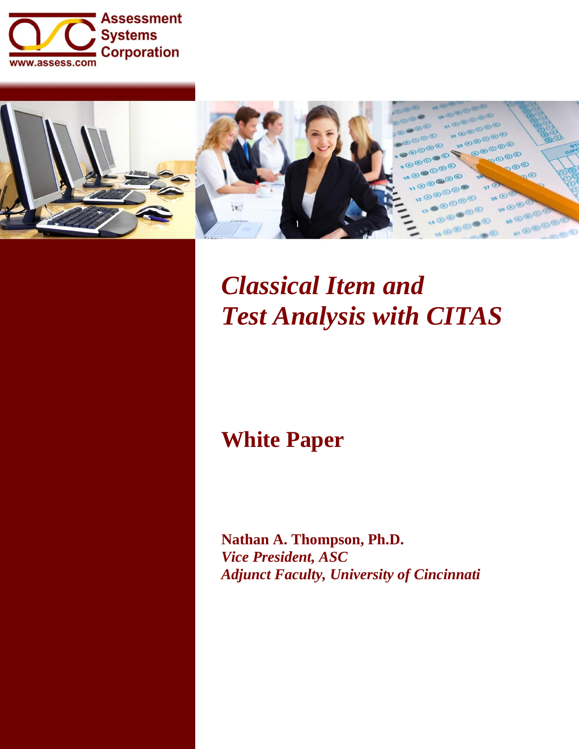



# *Classical Item and Test Analysis with CITAS*

## **White Paper**

**Nathan A. Thompson, Ph.D.** *Vice President, ASC Adjunct Faculty, University of Cincinnati*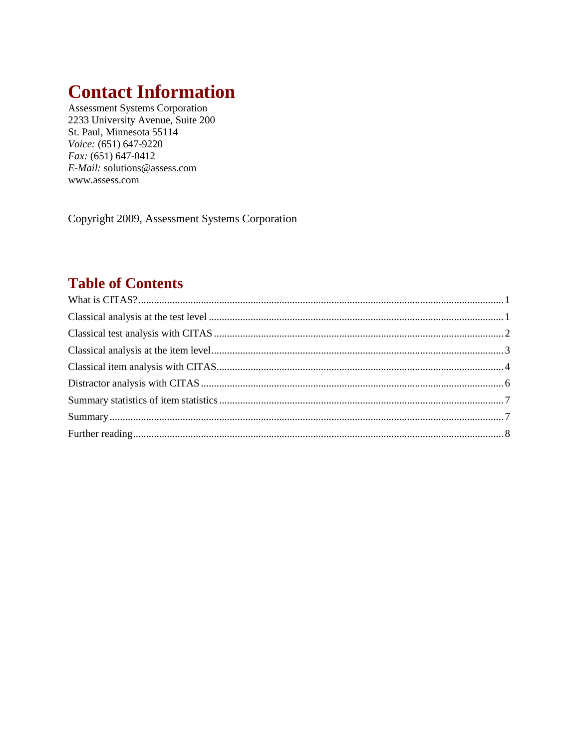## **Contact Information**

**Assessment Systems Corporation** 2233 University Avenue, Suite 200 St. Paul, Minnesota 55114 Voice: (651) 647-9220  $Fax: (651) 647-0412$ E-Mail: solutions@assess.com www.assess.com

Copyright 2009, Assessment Systems Corporation

## **Table of Contents**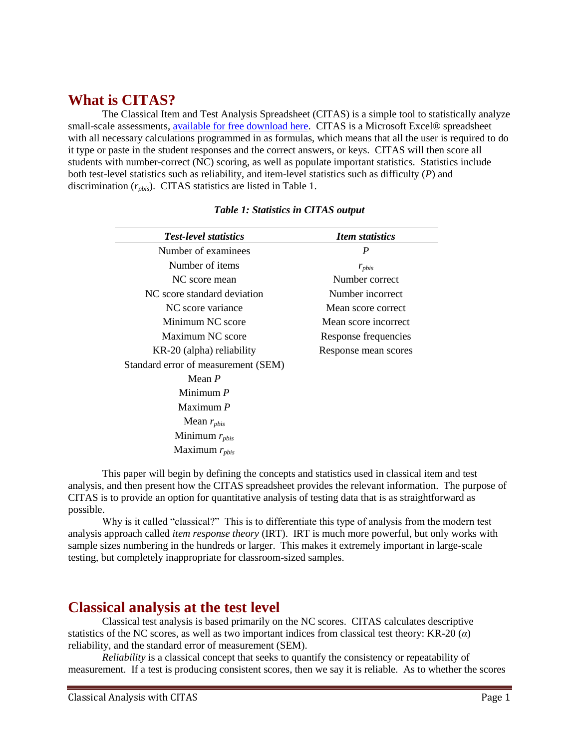## <span id="page-2-0"></span>**What is CITAS?**

The Classical Item and Test Analysis Spreadsheet (CITAS) is a simple tool to statistically analyze small-scale assessments, [available for free download here.](http://www.assess.com/xcart/product.php?productid=522&cat=0&page=1&featured) CITAS is a Microsoft Excel® spreadsheet with all necessary calculations programmed in as formulas, which means that all the user is required to do it type or paste in the student responses and the correct answers, or keys. CITAS will then score all students with number-correct (NC) scoring, as well as populate important statistics. Statistics include both test-level statistics such as reliability, and item-level statistics such as difficulty (*P*) and discrimination (*rpbis*). CITAS statistics are listed in Table 1.

| <b>Test-level statistics</b>        | <b>Item statistics</b> |
|-------------------------------------|------------------------|
| Number of examinees                 | P                      |
| Number of items                     | $r_{\text{pbis}}$      |
| NC score mean                       | Number correct         |
| NC score standard deviation         | Number incorrect       |
| NC score variance                   | Mean score correct     |
| Minimum NC score                    | Mean score incorrect   |
| Maximum NC score                    | Response frequencies   |
| KR-20 (alpha) reliability           | Response mean scores   |
| Standard error of measurement (SEM) |                        |
| Mean $P$                            |                        |
| Minimum $P$                         |                        |
| Maximum $P$                         |                        |
| Mean $r_{\text{phys}}$              |                        |
| Minimum $r_{\text{pbis}}$           |                        |
| Maximum $r_{\text{phys}}$           |                        |

#### *Table 1: Statistics in CITAS output*

This paper will begin by defining the concepts and statistics used in classical item and test analysis, and then present how the CITAS spreadsheet provides the relevant information. The purpose of CITAS is to provide an option for quantitative analysis of testing data that is as straightforward as possible.

Why is it called "classical?" This is to differentiate this type of analysis from the modern test analysis approach called *item response theory* (IRT). IRT is much more powerful, but only works with sample sizes numbering in the hundreds or larger. This makes it extremely important in large-scale testing, but completely inappropriate for classroom-sized samples.

## <span id="page-2-1"></span>**Classical analysis at the test level**

Classical test analysis is based primarily on the NC scores. CITAS calculates descriptive statistics of the NC scores, as well as two important indices from classical test theory: KR-20 (*α*) reliability, and the standard error of measurement (SEM).

*Reliability* is a classical concept that seeks to quantify the consistency or repeatability of measurement. If a test is producing consistent scores, then we say it is reliable. As to whether the scores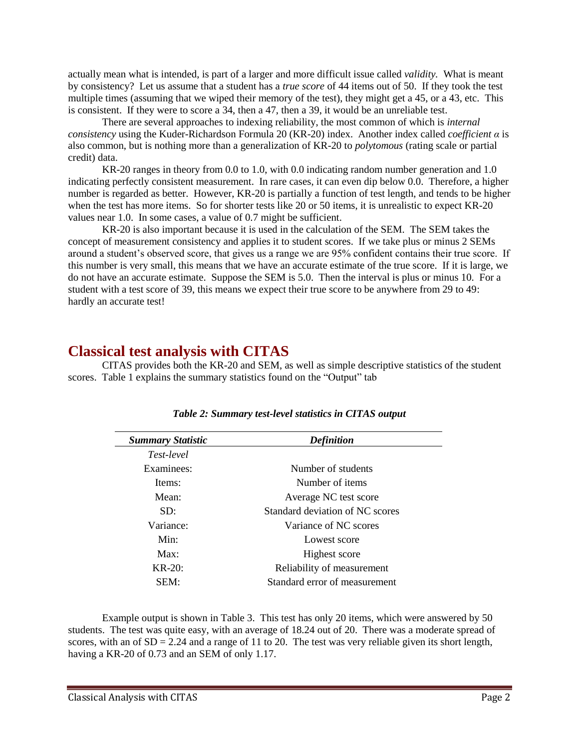actually mean what is intended, is part of a larger and more difficult issue called *validity.* What is meant by consistency? Let us assume that a student has a *true score* of 44 items out of 50. If they took the test multiple times (assuming that we wiped their memory of the test), they might get a 45, or a 43, etc. This is consistent. If they were to score a 34, then a 47, then a 39, it would be an unreliable test.

There are several approaches to indexing reliability, the most common of which is *internal consistency* using the Kuder-Richardson Formula 20 (KR-20) index. Another index called *coefficient α* is also common, but is nothing more than a generalization of KR-20 to *polytomous* (rating scale or partial credit) data.

KR-20 ranges in theory from 0.0 to 1.0, with 0.0 indicating random number generation and 1.0 indicating perfectly consistent measurement. In rare cases, it can even dip below 0.0. Therefore, a higher number is regarded as better. However, KR-20 is partially a function of test length, and tends to be higher when the test has more items. So for shorter tests like 20 or 50 items, it is unrealistic to expect KR-20 values near 1.0. In some cases, a value of 0.7 might be sufficient.

KR-20 is also important because it is used in the calculation of the SEM. The SEM takes the concept of measurement consistency and applies it to student scores. If we take plus or minus 2 SEMs around a student's observed score, that gives us a range we are 95% confident contains their true score. If this number is very small, this means that we have an accurate estimate of the true score. If it is large, we do not have an accurate estimate. Suppose the SEM is 5.0. Then the interval is plus or minus 10. For a student with a test score of 39, this means we expect their true score to be anywhere from 29 to 49: hardly an accurate test!

## <span id="page-3-0"></span>**Classical test analysis with CITAS**

CITAS provides both the KR-20 and SEM, as well as simple descriptive statistics of the student scores. Table 1 explains the summary statistics found on the "Output" tab

| <b>Summary Statistic</b> | <b>Definition</b>               |
|--------------------------|---------------------------------|
| Test-level               |                                 |
| Examinees:               | Number of students              |
| Items:                   | Number of items                 |
| Mean:                    | Average NC test score           |
| SD:                      | Standard deviation of NC scores |
| Variance:                | Variance of NC scores           |
| Min:                     | Lowest score                    |
| Max:                     | Highest score                   |
| $KR-20$ :                | Reliability of measurement      |
| SEM:                     | Standard error of measurement   |

#### *Table 2: Summary test-level statistics in CITAS output*

Example output is shown in Table 3. This test has only 20 items, which were answered by 50 students. The test was quite easy, with an average of 18.24 out of 20. There was a moderate spread of scores, with an of  $SD = 2.24$  and a range of 11 to 20. The test was very reliable given its short length, having a KR-20 of 0.73 and an SEM of only 1.17.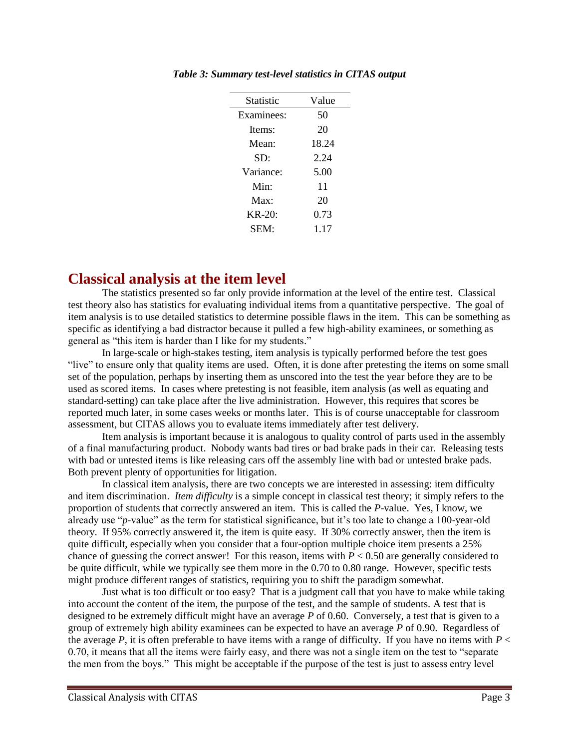| Statistic             | Value |
|-----------------------|-------|
| Examinees:            | 50    |
| Items:                | 20    |
| Mean:                 | 18.24 |
| SD:                   | 2.24  |
| Variance <sup>.</sup> | 5.00  |
| Min:                  | 11    |
| Max <sup>2</sup>      | 20    |
| $KR-20:$              | 0.73  |
| SEM:                  | 1 17  |
|                       |       |

*Table 3: Summary test-level statistics in CITAS output*

### <span id="page-4-0"></span>**Classical analysis at the item level**

The statistics presented so far only provide information at the level of the entire test. Classical test theory also has statistics for evaluating individual items from a quantitative perspective. The goal of item analysis is to use detailed statistics to determine possible flaws in the item. This can be something as specific as identifying a bad distractor because it pulled a few high-ability examinees, or something as general as "this item is harder than I like for my students."

In large-scale or high-stakes testing, item analysis is typically performed before the test goes "live" to ensure only that quality items are used. Often, it is done after pretesting the items on some small set of the population, perhaps by inserting them as unscored into the test the year before they are to be used as scored items. In cases where pretesting is not feasible, item analysis (as well as equating and standard-setting) can take place after the live administration. However, this requires that scores be reported much later, in some cases weeks or months later. This is of course unacceptable for classroom assessment, but CITAS allows you to evaluate items immediately after test delivery.

Item analysis is important because it is analogous to quality control of parts used in the assembly of a final manufacturing product. Nobody wants bad tires or bad brake pads in their car. Releasing tests with bad or untested items is like releasing cars off the assembly line with bad or untested brake pads. Both prevent plenty of opportunities for litigation.

In classical item analysis, there are two concepts we are interested in assessing: item difficulty and item discrimination. *Item difficulty* is a simple concept in classical test theory; it simply refers to the proportion of students that correctly answered an item. This is called the *P*-value. Yes, I know, we already use "*p*-value" as the term for statistical significance, but it's too late to change a 100-year-old theory. If 95% correctly answered it, the item is quite easy. If 30% correctly answer, then the item is quite difficult, especially when you consider that a four-option multiple choice item presents a 25% chance of guessing the correct answer! For this reason, items with  $P < 0.50$  are generally considered to be quite difficult, while we typically see them more in the 0.70 to 0.80 range. However, specific tests might produce different ranges of statistics, requiring you to shift the paradigm somewhat.

Just what is too difficult or too easy? That is a judgment call that you have to make while taking into account the content of the item, the purpose of the test, and the sample of students. A test that is designed to be extremely difficult might have an average *P* of 0.60. Conversely, a test that is given to a group of extremely high ability examinees can be expected to have an average *P* of 0.90. Regardless of the average  $P$ , it is often preferable to have items with a range of difficulty. If you have no items with  $P <$ 0.70, it means that all the items were fairly easy, and there was not a single item on the test to "separate the men from the boys." This might be acceptable if the purpose of the test is just to assess entry level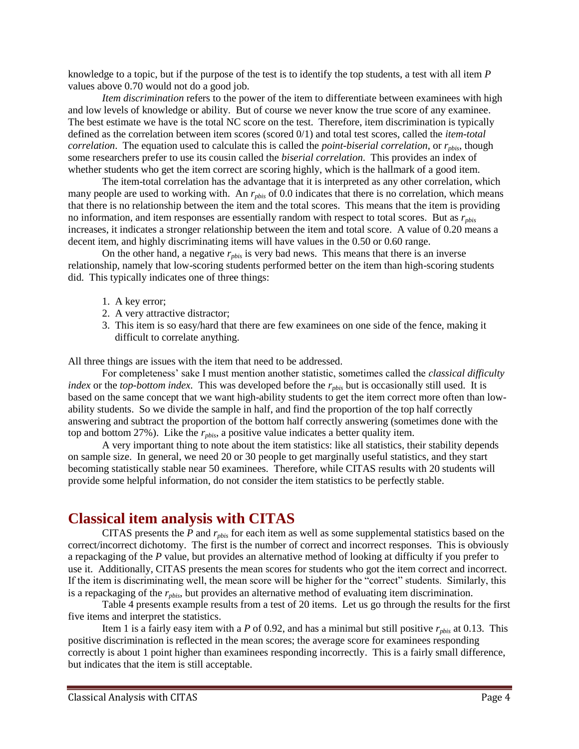knowledge to a topic, but if the purpose of the test is to identify the top students, a test with all item *P* values above 0.70 would not do a good job.

*Item discrimination* refers to the power of the item to differentiate between examinees with high and low levels of knowledge or ability. But of course we never know the true score of any examinee. The best estimate we have is the total NC score on the test. Therefore, item discrimination is typically defined as the correlation between item scores (scored 0/1) and total test scores, called the *item-total correlation*. The equation used to calculate this is called the *point-biserial correlation*, or  $r_{\textit{phys}}$ , though some researchers prefer to use its cousin called the *biserial correlation*. This provides an index of whether students who get the item correct are scoring highly, which is the hallmark of a good item.

The item-total correlation has the advantage that it is interpreted as any other correlation, which many people are used to working with. An  $r_{\text{phys}}$  of 0.0 indicates that there is no correlation, which means that there is no relationship between the item and the total scores. This means that the item is providing no information, and item responses are essentially random with respect to total scores. But as *rpbis* increases, it indicates a stronger relationship between the item and total score. A value of 0.20 means a decent item, and highly discriminating items will have values in the 0.50 or 0.60 range.

On the other hand, a negative *rpbis* is very bad news. This means that there is an inverse relationship, namely that low-scoring students performed better on the item than high-scoring students did. This typically indicates one of three things:

- 1. A key error;
- 2. A very attractive distractor;
- 3. This item is so easy/hard that there are few examinees on one side of the fence, making it difficult to correlate anything.

All three things are issues with the item that need to be addressed.

For completeness' sake I must mention another statistic, sometimes called the *classical difficulty index* or the *top-bottom index*. This was developed before the  $r_{\text{phys}}$  but is occasionally still used. It is based on the same concept that we want high-ability students to get the item correct more often than lowability students. So we divide the sample in half, and find the proportion of the top half correctly answering and subtract the proportion of the bottom half correctly answering (sometimes done with the top and bottom 27%). Like the *rpbis*, a positive value indicates a better quality item.

A very important thing to note about the item statistics: like all statistics, their stability depends on sample size. In general, we need 20 or 30 people to get marginally useful statistics, and they start becoming statistically stable near 50 examinees. Therefore, while CITAS results with 20 students will provide some helpful information, do not consider the item statistics to be perfectly stable.

## <span id="page-5-0"></span>**Classical item analysis with CITAS**

CITAS presents the *P* and *rpbis* for each item as well as some supplemental statistics based on the correct/incorrect dichotomy. The first is the number of correct and incorrect responses. This is obviously a repackaging of the *P* value, but provides an alternative method of looking at difficulty if you prefer to use it. Additionally, CITAS presents the mean scores for students who got the item correct and incorrect. If the item is discriminating well, the mean score will be higher for the "correct" students. Similarly, this is a repackaging of the *rpbis*, but provides an alternative method of evaluating item discrimination.

Table 4 presents example results from a test of 20 items. Let us go through the results for the first five items and interpret the statistics.

Item 1 is a fairly easy item with a *P* of 0.92, and has a minimal but still positive  $r_{\text{phys}}$  at 0.13. This positive discrimination is reflected in the mean scores; the average score for examinees responding correctly is about 1 point higher than examinees responding incorrectly. This is a fairly small difference, but indicates that the item is still acceptable.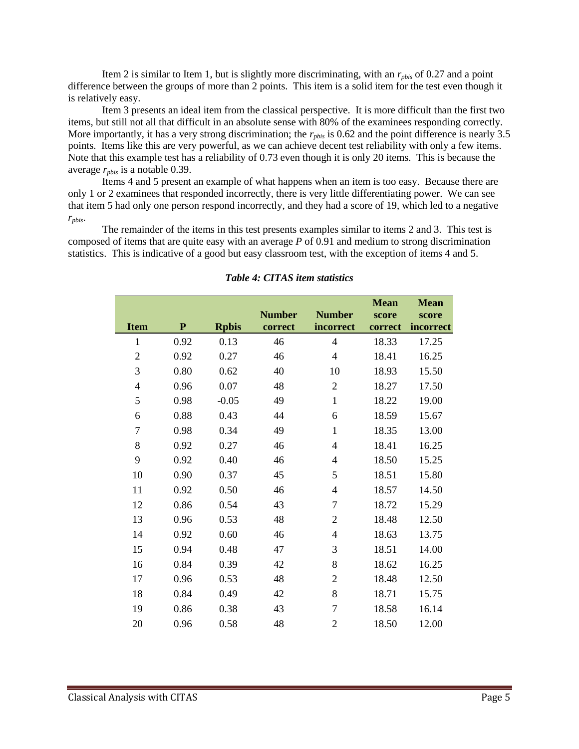Item 2 is similar to Item 1, but is slightly more discriminating, with an *rpbis* of 0.27 and a point difference between the groups of more than 2 points. This item is a solid item for the test even though it is relatively easy.

Item 3 presents an ideal item from the classical perspective. It is more difficult than the first two items, but still not all that difficult in an absolute sense with 80% of the examinees responding correctly. More importantly, it has a very strong discrimination; the  $r_{\text{phys}}$  is 0.62 and the point difference is nearly 3.5 points. Items like this are very powerful, as we can achieve decent test reliability with only a few items. Note that this example test has a reliability of 0.73 even though it is only 20 items. This is because the average *rpbis* is a notable 0.39.

Items 4 and 5 present an example of what happens when an item is too easy. Because there are only 1 or 2 examinees that responded incorrectly, there is very little differentiating power. We can see that item 5 had only one person respond incorrectly, and they had a score of 19, which led to a negative *rpbis*.

The remainder of the items in this test presents examples similar to items 2 and 3. This test is composed of items that are quite easy with an average *P* of 0.91 and medium to strong discrimination statistics. This is indicative of a good but easy classroom test, with the exception of items 4 and 5.

|                  |           |              |               |                          | <b>Mean</b> | <b>Mean</b> |
|------------------|-----------|--------------|---------------|--------------------------|-------------|-------------|
|                  |           |              | <b>Number</b> | <b>Number</b>            | score       | score       |
| <b>Item</b>      | ${\bf P}$ | <b>Rpbis</b> | correct       | incorrect                | correct     | incorrect   |
| $\mathbf{1}$     | 0.92      | 0.13         | 46            | $\overline{4}$           | 18.33       | 17.25       |
| $\sqrt{2}$       | 0.92      | 0.27         | 46            | $\overline{4}$           | 18.41       | 16.25       |
| 3                | 0.80      | 0.62         | 40            | 10                       | 18.93       | 15.50       |
| $\overline{4}$   | 0.96      | 0.07         | 48            | $\overline{2}$           | 18.27       | 17.50       |
| 5                | 0.98      | $-0.05$      | 49            | $\mathbf{1}$             | 18.22       | 19.00       |
| 6                | 0.88      | 0.43         | 44            | 6                        | 18.59       | 15.67       |
| $\boldsymbol{7}$ | 0.98      | 0.34         | 49            | $\mathbf{1}$             | 18.35       | 13.00       |
| 8                | 0.92      | 0.27         | 46            | $\overline{4}$           | 18.41       | 16.25       |
| 9                | 0.92      | 0.40         | 46            | $\overline{4}$           | 18.50       | 15.25       |
| 10               | 0.90      | 0.37         | 45            | 5                        | 18.51       | 15.80       |
| 11               | 0.92      | 0.50         | 46            | $\overline{4}$           | 18.57       | 14.50       |
| 12               | 0.86      | 0.54         | 43            | 7                        | 18.72       | 15.29       |
| 13               | 0.96      | 0.53         | 48            | $\overline{2}$           | 18.48       | 12.50       |
| 14               | 0.92      | 0.60         | 46            | $\overline{\mathcal{A}}$ | 18.63       | 13.75       |
| 15               | 0.94      | 0.48         | 47            | 3                        | 18.51       | 14.00       |
| 16               | 0.84      | 0.39         | 42            | $8\,$                    | 18.62       | 16.25       |
| 17               | 0.96      | 0.53         | 48            | $\mathfrak{2}$           | 18.48       | 12.50       |
| 18               | 0.84      | 0.49         | 42            | 8                        | 18.71       | 15.75       |
| 19               | 0.86      | 0.38         | 43            | $\overline{7}$           | 18.58       | 16.14       |
| 20               | 0.96      | 0.58         | 48            | $\overline{2}$           | 18.50       | 12.00       |

*Table 4: CITAS item statistics*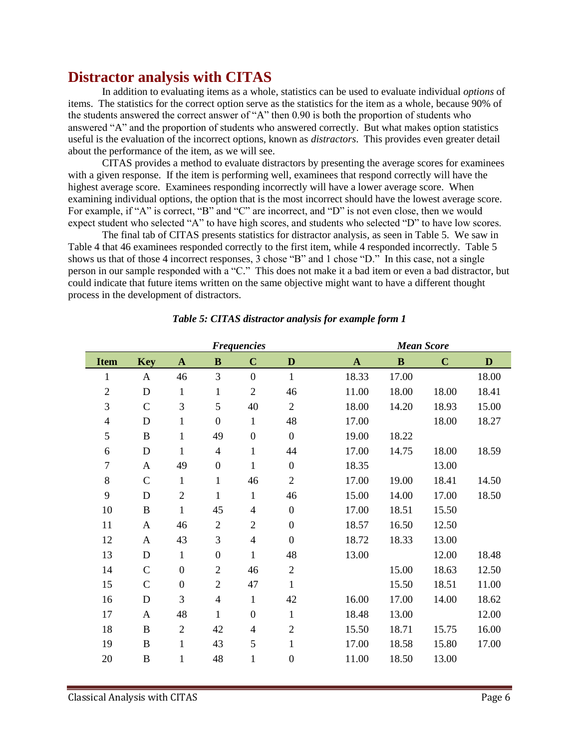## **Distractor analysis with CITAS**

<span id="page-7-0"></span>In addition to evaluating items as a whole, statistics can be used to evaluate individual *options* of items. The statistics for the correct option serve as the statistics for the item as a whole, because 90% of the students answered the correct answer of "A" then 0.90 is both the proportion of students who answered "A" and the proportion of students who answered correctly. But what makes option statistics useful is the evaluation of the incorrect options, known as *distractors*. This provides even greater detail about the performance of the item, as we will see.

CITAS provides a method to evaluate distractors by presenting the average scores for examinees with a given response. If the item is performing well, examinees that respond correctly will have the highest average score. Examinees responding incorrectly will have a lower average score. When examining individual options, the option that is the most incorrect should have the lowest average score. For example, if "A" is correct, "B" and "C" are incorrect, and "D" is not even close, then we would expect student who selected "A" to have high scores, and students who selected "D" to have low scores.

The final tab of CITAS presents statistics for distractor analysis, as seen in Table 5. We saw in Table 4 that 46 examinees responded correctly to the first item, while 4 responded incorrectly. Table 5 shows us that of those 4 incorrect responses, 3 chose "B" and 1 chose "D." In this case, not a single person in our sample responded with a "C." This does not make it a bad item or even a bad distractor, but could indicate that future items written on the same objective might want to have a different thought process in the development of distractors.

| <b>Frequencies</b> |               |                  |                  |                  | <b>Mean Score</b> |              |          |             |       |
|--------------------|---------------|------------------|------------------|------------------|-------------------|--------------|----------|-------------|-------|
| <b>Item</b>        | <b>Key</b>    | $\mathbf{A}$     | $\bf{B}$         | $\mathbf C$      | D                 | $\mathbf{A}$ | $\bf{B}$ | $\mathbf C$ | D     |
| $\mathbf{1}$       | A             | 46               | 3                | $\boldsymbol{0}$ | $\mathbf{1}$      | 18.33        | 17.00    |             | 18.00 |
| $\overline{2}$     | $\mathbf D$   | $\mathbf{1}$     | $\mathbf{1}$     | $\overline{2}$   | 46                | 11.00        | 18.00    | 18.00       | 18.41 |
| 3                  | $\mathsf{C}$  | 3                | 5                | 40               | $\overline{2}$    | 18.00        | 14.20    | 18.93       | 15.00 |
| 4                  | D             | $\mathbf{1}$     | $\boldsymbol{0}$ | 1                | 48                | 17.00        |          | 18.00       | 18.27 |
| 5                  | $\, {\bf B}$  | $\mathbf{1}$     | 49               | $\boldsymbol{0}$ | $\overline{0}$    | 19.00        | 18.22    |             |       |
| 6                  | ${\bf D}$     | $\mathbf{1}$     | $\overline{4}$   | $\mathbf{1}$     | 44                | 17.00        | 14.75    | 18.00       | 18.59 |
| $\tau$             | A             | 49               | $\boldsymbol{0}$ | 1                | $\boldsymbol{0}$  | 18.35        |          | 13.00       |       |
| 8                  | $\mathcal{C}$ | $\mathbf{1}$     | 1                | 46               | $\mathbf{2}$      | 17.00        | 19.00    | 18.41       | 14.50 |
| 9                  | D             | $\sqrt{2}$       | $\mathbf{1}$     | $\mathbf{1}$     | 46                | 15.00        | 14.00    | 17.00       | 18.50 |
| 10                 | $\, {\bf B}$  | $\mathbf{1}$     | 45               | $\overline{4}$   | $\boldsymbol{0}$  | 17.00        | 18.51    | 15.50       |       |
| 11                 | A             | 46               | $\overline{c}$   | $\overline{2}$   | $\boldsymbol{0}$  | 18.57        | 16.50    | 12.50       |       |
| 12                 | A             | 43               | 3                | $\overline{4}$   | $\boldsymbol{0}$  | 18.72        | 18.33    | 13.00       |       |
| 13                 | $\mathbf D$   | $\mathbf{1}$     | $\boldsymbol{0}$ | $\mathbf{1}$     | 48                | 13.00        |          | 12.00       | 18.48 |
| 14                 | $\mathcal{C}$ | $\boldsymbol{0}$ | $\overline{2}$   | 46               | $\mathbf{2}$      |              | 15.00    | 18.63       | 12.50 |
| 15                 | $\mathsf{C}$  | $\boldsymbol{0}$ | $\mathbf{2}$     | 47               | $\mathbf{1}$      |              | 15.50    | 18.51       | 11.00 |
| 16                 | ${\bf D}$     | 3                | $\overline{4}$   | $\mathbf{1}$     | 42                | 16.00        | 17.00    | 14.00       | 18.62 |
| 17                 | A             | 48               | 1                | $\boldsymbol{0}$ | $\mathbf{1}$      | 18.48        | 13.00    |             | 12.00 |
| 18                 | $\bf{B}$      | $\overline{2}$   | 42               | $\overline{4}$   | $\mathbf{2}$      | 15.50        | 18.71    | 15.75       | 16.00 |
| 19                 | B             | $\mathbf{1}$     | 43               | 5                | $\mathbf{1}$      | 17.00        | 18.58    | 15.80       | 17.00 |
| 20                 | $\, {\bf B}$  | $\mathbf{1}$     | 48               | $\mathbf{1}$     | $\boldsymbol{0}$  | 11.00        | 18.50    | 13.00       |       |
|                    |               |                  |                  |                  |                   |              |          |             |       |

#### *Table 5: CITAS distractor analysis for example form 1*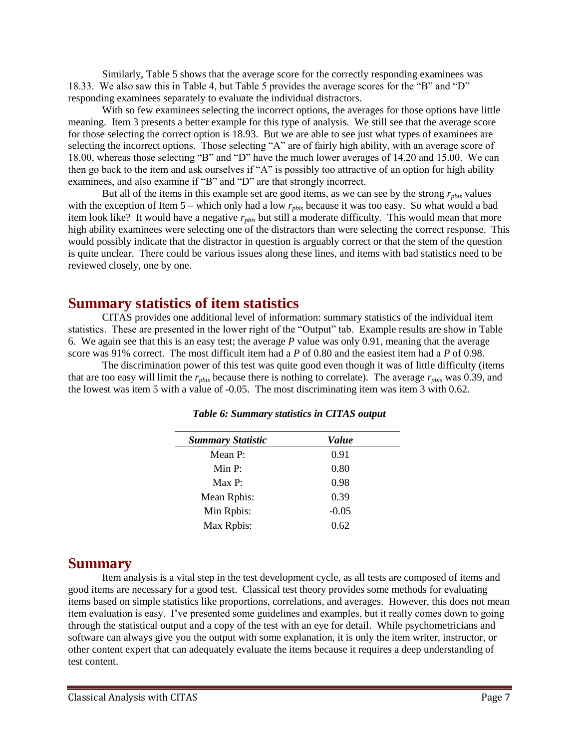Similarly, Table 5 shows that the average score for the correctly responding examinees was 18.33. We also saw this in Table 4, but Table 5 provides the average scores for the "B" and "D" responding examinees separately to evaluate the individual distractors.

With so few examinees selecting the incorrect options, the averages for those options have little meaning. Item 3 presents a better example for this type of analysis. We still see that the average score for those selecting the correct option is 18.93. But we are able to see just what types of examinees are selecting the incorrect options. Those selecting "A" are of fairly high ability, with an average score of 18.00, whereas those selecting "B" and "D" have the much lower averages of 14.20 and 15.00. We can then go back to the item and ask ourselves if "A" is possibly too attractive of an option for high ability examinees, and also examine if "B" and "D" are that strongly incorrect.

But all of the items in this example set are good items, as we can see by the strong *rpbis* values with the exception of Item 5 – which only had a low  $r_{\text{phys}}$  because it was too easy. So what would a bad item look like? It would have a negative *rpbis* but still a moderate difficulty. This would mean that more high ability examinees were selecting one of the distractors than were selecting the correct response. This would possibly indicate that the distractor in question is arguably correct or that the stem of the question is quite unclear. There could be various issues along these lines, and items with bad statistics need to be reviewed closely, one by one.

## <span id="page-8-0"></span>**Summary statistics of item statistics**

CITAS provides one additional level of information: summary statistics of the individual item statistics. These are presented in the lower right of the "Output" tab. Example results are show in Table 6. We again see that this is an easy test; the average *P* value was only 0.91, meaning that the average score was 91% correct. The most difficult item had a *P* of 0.80 and the easiest item had a *P* of 0.98.

The discrimination power of this test was quite good even though it was of little difficulty (items that are too easy will limit the *rpbis* because there is nothing to correlate). The average *rpbis* was 0.39, and the lowest was item 5 with a value of -0.05. The most discriminating item was item 3 with 0.62.

| <b>Summary Statistic</b> | Value   |  |
|--------------------------|---------|--|
| Mean P:                  | 0.91    |  |
| Min P:                   | 0.80    |  |
| Max P:                   | 0.98    |  |
| Mean Rpbis:              | 0.39    |  |
| Min Rpbis:               | $-0.05$ |  |
| Max Rpbis:               | 0.62    |  |
|                          |         |  |

*Table 6: Summary statistics in CITAS output*

### <span id="page-8-1"></span>**Summary**

Item analysis is a vital step in the test development cycle, as all tests are composed of items and good items are necessary for a good test. Classical test theory provides some methods for evaluating items based on simple statistics like proportions, correlations, and averages. However, this does not mean item evaluation is easy. I've presented some guidelines and examples, but it really comes down to going through the statistical output and a copy of the test with an eye for detail. While psychometricians and software can always give you the output with some explanation, it is only the item writer, instructor, or other content expert that can adequately evaluate the items because it requires a deep understanding of test content.